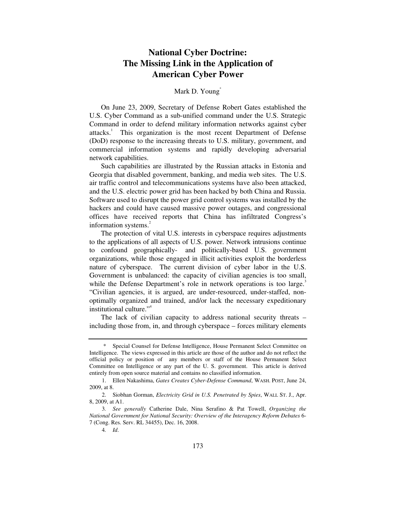# **National Cyber Doctrine: The Missing Link in the Application of American Cyber Power**

# Mark D. Young<sup>\*</sup>

On June 23, 2009, Secretary of Defense Robert Gates established the U.S. Cyber Command as a sub-unified command under the U.S. Strategic Command in order to defend military information networks against cyber attacks.<sup>1</sup> This organization is the most recent Department of Defense (DoD) response to the increasing threats to U.S. military, government, and commercial information systems and rapidly developing adversarial network capabilities.

Such capabilities are illustrated by the Russian attacks in Estonia and Georgia that disabled government, banking, and media web sites. The U.S. air traffic control and telecommunications systems have also been attacked, and the U.S. electric power grid has been hacked by both China and Russia. Software used to disrupt the power grid control systems was installed by the hackers and could have caused massive power outages, and congressional offices have received reports that China has infiltrated Congress's information systems.<sup>2</sup>

The protection of vital U.S. interests in cyberspace requires adjustments to the applications of all aspects of U.S. power. Network intrusions continue to confound geographically- and politically-based U.S. government organizations, while those engaged in illicit activities exploit the borderless nature of cyberspace. The current division of cyber labor in the U.S. Government is unbalanced: the capacity of civilian agencies is too small, while the Defense Department's role in network operations is too large.<sup>3</sup> "Civilian agencies, it is argued, are under-resourced, under-staffed, nonoptimally organized and trained, and/or lack the necessary expeditionary institutional culture."4

The lack of civilian capacity to address national security threats – including those from, in, and through cyberspace – forces military elements

 <sup>\*</sup> Special Counsel for Defense Intelligence, House Permanent Select Committee on Intelligence. The views expressed in this article are those of the author and do not reflect the official policy or position of any members or staff of the House Permanent Select Committee on Intelligence or any part of the U. S. government. This article is derived entirely from open source material and contains no classified information.

 <sup>1.</sup> Ellen Nakashima, *Gates Creates Cyber-Defense Command*, WASH. POST, June 24, 2009, at 8.

 <sup>2.</sup> Siobhan Gorman, *Electricity Grid in U.S. Penetrated by Spies*, WALL ST. J., Apr. 8, 2009, at A1.

<sup>3</sup>*. See generally* Catherine Dale, Nina Serafino & Pat Towell, *Organizing the National Government for National Security: Overview of the Interagency Reform Debates* 6- 7 (Cong. Res. Serv. RL 34455), Dec. 16, 2008.

<sup>4</sup>*. Id*.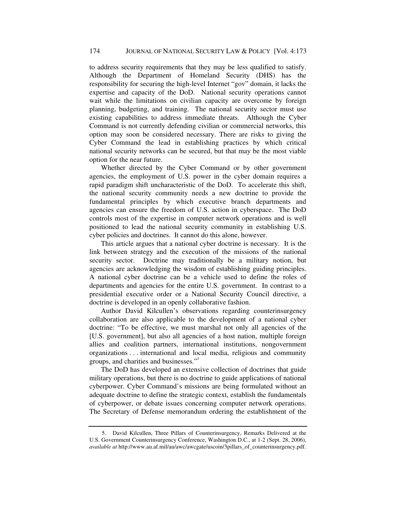to address security requirements that they may be less qualified to satisfy. Although the Department of Homeland Security (DHS) has the responsibility for securing the high-level Internet "gov" domain, it lacks the expertise and capacity of the DoD. National security operations cannot wait while the limitations on civilian capacity are overcome by foreign planning, budgeting, and training. The national security sector must use existing capabilities to address immediate threats. Although the Cyber Command is not currently defending civilian or commercial networks, this option may soon be considered necessary. There are risks to giving the Cyber Command the lead in establishing practices by which critical national security networks can be secured, but that may be the most viable option for the near future.

Whether directed by the Cyber Command or by other government agencies, the employment of U.S. power in the cyber domain requires a rapid paradigm shift uncharacteristic of the DoD. To accelerate this shift, the national security community needs a new doctrine to provide the fundamental principles by which executive branch departments and agencies can ensure the freedom of U.S. action in cyberspace. The DoD controls most of the expertise in computer network operations and is well positioned to lead the national security community in establishing U.S. cyber policies and doctrines. It cannot do this alone, however.

This article argues that a national cyber doctrine is necessary. It is the link between strategy and the execution of the missions of the national security sector. Doctrine may traditionally be a military notion, but agencies are acknowledging the wisdom of establishing guiding principles. A national cyber doctrine can be a vehicle used to define the roles of departments and agencies for the entire U.S. government. In contrast to a presidential executive order or a National Security Council directive, a doctrine is developed in an openly collaborative fashion.

Author David Kilcullen's observations regarding counterinsurgency collaboration are also applicable to the development of a national cyber doctrine: "To be effective, we must marshal not only all agencies of the [U.S. government], but also all agencies of a host nation, multiple foreign allies and coalition partners, international institutions, nongovernment organizations . . . international and local media, religious and community groups, and charities and businesses."<sup>5</sup>

The DoD has developed an extensive collection of doctrines that guide military operations, but there is no doctrine to guide applications of national cyberpower. Cyber Command's missions are being formulated without an adequate doctrine to define the strategic context, establish the fundamentals of cyberpower, or debate issues concerning computer network operations. The Secretary of Defense memorandum ordering the establishment of the

 <sup>5.</sup> David Kilcullen, Three Pillars of Counterinsurgency, Remarks Delivered at the U.S. Government Counterinsurgency Conference, Washington D.C., at 1-2 (Sept. 28, 2006), *available at* http://www.au.af.mil/au/awc/awcgate/uscoin/3pillars\_of\_counterinsurgency.pdf.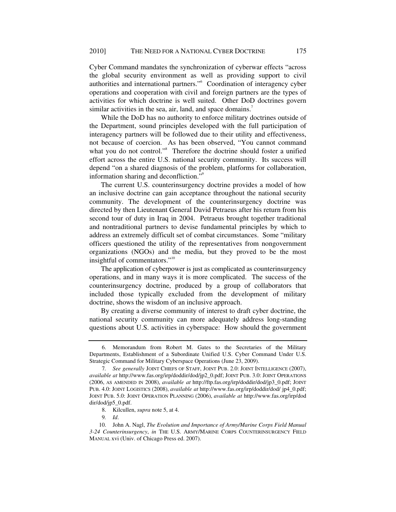Cyber Command mandates the synchronization of cyberwar effects "across the global security environment as well as providing support to civil authorities and international partners."<sup>6</sup> Coordination of interagency cyber operations and cooperation with civil and foreign partners are the types of activities for which doctrine is well suited. Other DoD doctrines govern similar activities in the sea, air, land, and space domains.<sup>7</sup>

While the DoD has no authority to enforce military doctrines outside of the Department, sound principles developed with the full participation of interagency partners will be followed due to their utility and effectiveness, not because of coercion. As has been observed, "You cannot command what you do not control."<sup>8</sup> Therefore the doctrine should foster a unified effort across the entire U.S. national security community. Its success will depend "on a shared diagnosis of the problem, platforms for collaboration, information sharing and deconfliction."9

The current U.S. counterinsurgency doctrine provides a model of how an inclusive doctrine can gain acceptance throughout the national security community. The development of the counterinsurgency doctrine was directed by then Lieutenant General David Petraeus after his return from his second tour of duty in Iraq in 2004. Petraeus brought together traditional and nontraditional partners to devise fundamental principles by which to address an extremely difficult set of combat circumstances. Some "military officers questioned the utility of the representatives from nongovernment organizations (NGOs) and the media, but they proved to be the most insightful of commentators."<sup>10</sup>

The application of cyberpower is just as complicated as counterinsurgency operations, and in many ways it is more complicated. The success of the counterinsurgency doctrine, produced by a group of collaborators that included those typically excluded from the development of military doctrine, shows the wisdom of an inclusive approach.

By creating a diverse community of interest to draft cyber doctrine, the national security community can more adequately address long-standing questions about U.S. activities in cyberspace: How should the government

 <sup>6.</sup> Memorandum from Robert M. Gates to the Secretaries of the Military Departments, Establishment of a Subordinate Unified U.S. Cyber Command Under U.S. Strategic Command for Military Cyberspace Operations (June 23, 2009).

<sup>7</sup>*. See generally* JOINT CHIEFS OF STAFF, JOINT PUB. 2.0: JOINT INTELLIGENCE (2007), *available at* http://www.fas.org/irp/doddir/dod/jp2\_0.pdf; JOINT PUB. 3.0: JOINT OPERATIONS (2006, AS AMENDED IN 2008), *available at* http://ftp.fas.org/irp/doddir/dod/jp3\_0.pdf; JOINT PUB. 4.0: JOINT LOGISTICS (2008), *available at* http://www.fas.org/irp/doddir/dod/ jp4\_0.pdf; JOINT PUB. 5.0: JOINT OPERATION PLANNING (2006), *available at* http://www.fas.org/irp/dod dir/dod/jp5\_0.pdf.

 <sup>8.</sup> Kilcullen, *supra* note 5, at 4.

<sup>9</sup>*. Id*.

 <sup>10.</sup> John A. Nagl, *The Evolution and Importance of Army/Marine Corps Field Manual 3-24 Counterinsurgency*, *in* THE U.S. ARMY/MARINE CORPS COUNTERINSURGENCY FIELD MANUAL xvi (Univ. of Chicago Press ed. 2007).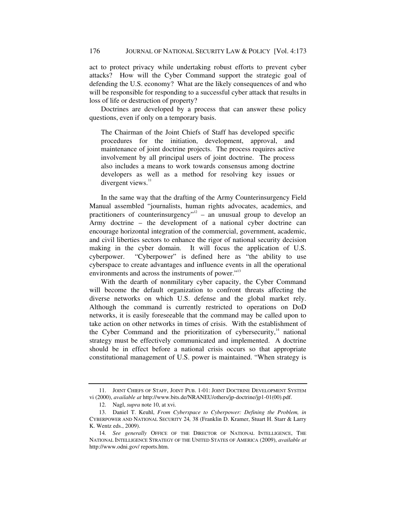act to protect privacy while undertaking robust efforts to prevent cyber attacks? How will the Cyber Command support the strategic goal of defending the U.S. economy? What are the likely consequences of and who will be responsible for responding to a successful cyber attack that results in loss of life or destruction of property?

Doctrines are developed by a process that can answer these policy questions, even if only on a temporary basis.

The Chairman of the Joint Chiefs of Staff has developed specific procedures for the initiation, development, approval, and maintenance of joint doctrine projects. The process requires active involvement by all principal users of joint doctrine. The process also includes a means to work towards consensus among doctrine developers as well as a method for resolving key issues or divergent views. $11$ 

In the same way that the drafting of the Army Counterinsurgency Field Manual assembled "journalists, human rights advocates, academics, and practitioners of counterinsurgency"<sup>12</sup> – an unusual group to develop an Army doctrine – the development of a national cyber doctrine can encourage horizontal integration of the commercial, government, academic, and civil liberties sectors to enhance the rigor of national security decision making in the cyber domain. It will focus the application of U.S. cyberpower. "Cyberpower" is defined here as "the ability to use cyberspace to create advantages and influence events in all the operational environments and across the instruments of power."<sup>13</sup>

With the dearth of nonmilitary cyber capacity, the Cyber Command will become the default organization to confront threats affecting the diverse networks on which U.S. defense and the global market rely. Although the command is currently restricted to operations on DoD networks, it is easily foreseeable that the command may be called upon to take action on other networks in times of crisis. With the establishment of the Cyber Command and the prioritization of cybersecurity, $14$  national strategy must be effectively communicated and implemented. A doctrine should be in effect before a national crisis occurs so that appropriate constitutional management of U.S. power is maintained. "When strategy is

 <sup>11.</sup> JOINT CHIEFS OF STAFF, JOINT PUB. 1-01: JOINT DOCTRINE DEVELOPMENT SYSTEM vi (2000), *available at* http://www.bits.de/NRANEU/others/jp-doctrine/jp1-01(00).pdf.

 <sup>12.</sup> Nagl, *supra* note 10, at xvi.

 <sup>13.</sup> Daniel T. Keuhl, *From Cyberspace to Cyberpower: Defining the Problem, in* CYBERPOWER AND NATIONAL SECURITY 24*,* 38 (Franklin D. Kramer, Stuart H. Starr & Larry K. Wentz eds., 2009).

<sup>14</sup>*. See generally* OFFICE OF THE DIRECTOR OF NATIONAL INTELLIGENCE, THE NATIONAL INTELLIGENCE STRATEGY OF THE UNITED STATES OF AMERICA (2009), *available at* http://www.odni.gov/ reports.htm.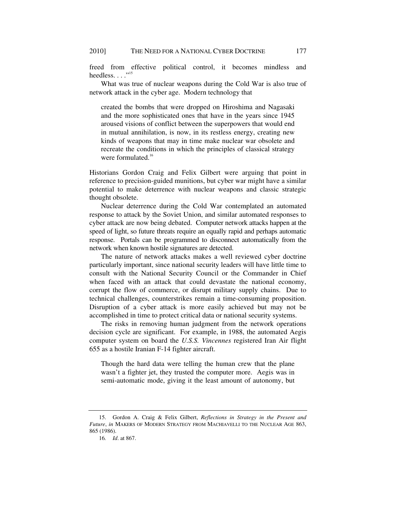freed from effective political control, it becomes mindless and heedless.  $\ldots$ <sup>"15</sup>

What was true of nuclear weapons during the Cold War is also true of network attack in the cyber age. Modern technology that

created the bombs that were dropped on Hiroshima and Nagasaki and the more sophisticated ones that have in the years since 1945 aroused visions of conflict between the superpowers that would end in mutual annihilation, is now, in its restless energy, creating new kinds of weapons that may in time make nuclear war obsolete and recreate the conditions in which the principles of classical strategy were formulated.<sup>16</sup>

Historians Gordon Craig and Felix Gilbert were arguing that point in reference to precision-guided munitions, but cyber war might have a similar potential to make deterrence with nuclear weapons and classic strategic thought obsolete.

Nuclear deterrence during the Cold War contemplated an automated response to attack by the Soviet Union, and similar automated responses to cyber attack are now being debated. Computer network attacks happen at the speed of light, so future threats require an equally rapid and perhaps automatic response. Portals can be programmed to disconnect automatically from the network when known hostile signatures are detected.

The nature of network attacks makes a well reviewed cyber doctrine particularly important, since national security leaders will have little time to consult with the National Security Council or the Commander in Chief when faced with an attack that could devastate the national economy, corrupt the flow of commerce, or disrupt military supply chains. Due to technical challenges, counterstrikes remain a time-consuming proposition. Disruption of a cyber attack is more easily achieved but may not be accomplished in time to protect critical data or national security systems.

The risks in removing human judgment from the network operations decision cycle are significant. For example, in 1988, the automated Aegis computer system on board the *U.S.S. Vincennes* registered Iran Air flight 655 as a hostile Iranian F-14 fighter aircraft.

Though the hard data were telling the human crew that the plane wasn't a fighter jet, they trusted the computer more. Aegis was in semi-automatic mode, giving it the least amount of autonomy, but

 <sup>15.</sup> Gordon A. Craig & Felix Gilbert, *Reflections in Strategy in the Present and Future*, *in* MAKERS OF MODERN STRATEGY FROM MACHIAVELLI TO THE NUCLEAR AGE 863, 865 (1986).

<sup>16</sup>*. Id*. at 867.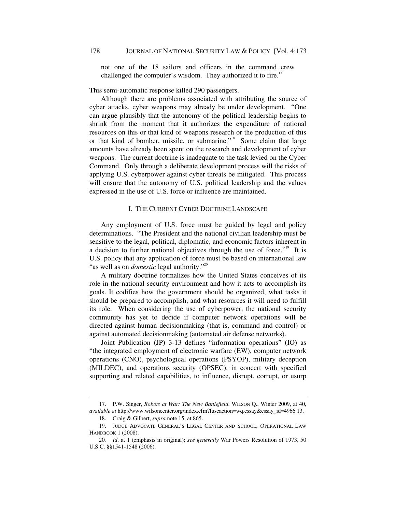not one of the 18 sailors and officers in the command crew challenged the computer's wisdom. They authorized it to fire.<sup>17</sup>

This semi-automatic response killed 290 passengers.

Although there are problems associated with attributing the source of cyber attacks, cyber weapons may already be under development. "One can argue plausibly that the autonomy of the political leadership begins to shrink from the moment that it authorizes the expenditure of national resources on this or that kind of weapons research or the production of this or that kind of bomber, missile, or submarine."18 Some claim that large amounts have already been spent on the research and development of cyber weapons. The current doctrine is inadequate to the task levied on the Cyber Command. Only through a deliberate development process will the risks of applying U.S. cyberpower against cyber threats be mitigated. This process will ensure that the autonomy of U.S. political leadership and the values expressed in the use of U.S. force or influence are maintained.

# I. THE CURRENT CYBER DOCTRINE LANDSCAPE

Any employment of U.S. force must be guided by legal and policy determinations. "The President and the national civilian leadership must be sensitive to the legal, political, diplomatic, and economic factors inherent in a decision to further national objectives through the use of force."<sup>19</sup> It is U.S. policy that any application of force must be based on international law "as well as on *domestic* legal authority."<sup>20</sup>

A military doctrine formalizes how the United States conceives of its role in the national security environment and how it acts to accomplish its goals. It codifies how the government should be organized, what tasks it should be prepared to accomplish, and what resources it will need to fulfill its role. When considering the use of cyberpower, the national security community has yet to decide if computer network operations will be directed against human decisionmaking (that is, command and control) or against automated decisionmaking (automated air defense networks).

Joint Publication (JP) 3-13 defines "information operations" (IO) as "the integrated employment of electronic warfare (EW), computer network operations (CNO), psychological operations (PSYOP), military deception (MILDEC), and operations security (OPSEC), in concert with specified supporting and related capabilities, to influence, disrupt, corrupt, or usurp

 <sup>17.</sup> P.W. Singer, *Robots at War: The New Battlefield*, WILSON Q., Winter 2009, at 40, *available at* http://www.wilsoncenter.org/index.cfm?fuseaction=wq.essay&essay\_id=4966 13.

 <sup>18.</sup> Craig & Gilbert, *supra* note 15, at 865.

 <sup>19.</sup> JUDGE ADVOCATE GENERAL'S LEGAL CENTER AND SCHOOL, OPERATIONAL LAW HANDBOOK 1 (2008).

<sup>20</sup>*. Id*. at 1 (emphasis in original); *see generally* War Powers Resolution of 1973, 50 U.S.C. §§1541-1548 (2006).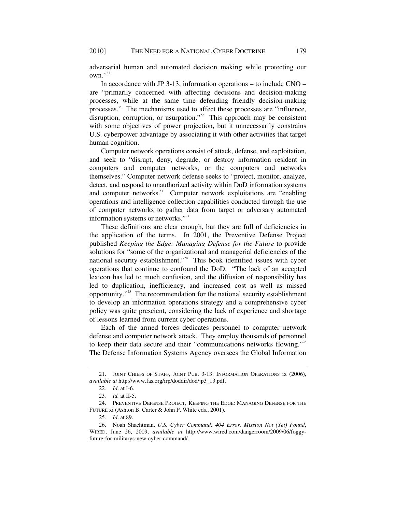adversarial human and automated decision making while protecting our  $own.$ <sup>21</sup>

In accordance with JP 3-13, information operations – to include CNO – are "primarily concerned with affecting decisions and decision-making processes, while at the same time defending friendly decision-making processes." The mechanisms used to affect these processes are "influence, disruption, corruption, or usurpation.<sup> $22$ </sup> This approach may be consistent with some objectives of power projection, but it unnecessarily constrains U.S. cyberpower advantage by associating it with other activities that target human cognition.

Computer network operations consist of attack, defense, and exploitation, and seek to "disrupt, deny, degrade, or destroy information resident in computers and computer networks, or the computers and networks themselves." Computer network defense seeks to "protect, monitor, analyze, detect, and respond to unauthorized activity within DoD information systems and computer networks." Computer network exploitations are "enabling operations and intelligence collection capabilities conducted through the use of computer networks to gather data from target or adversary automated information systems or networks."<sup>23</sup>

These definitions are clear enough, but they are full of deficiencies in the application of the terms. In 2001, the Preventive Defense Project published *Keeping the Edge: Managing Defense for the Future* to provide solutions for "some of the organizational and managerial deficiencies of the national security establishment."<sup>24</sup> This book identified issues with cyber operations that continue to confound the DoD. "The lack of an accepted lexicon has led to much confusion, and the diffusion of responsibility has led to duplication, inefficiency, and increased cost as well as missed opportunity."25 The recommendation for the national security establishment to develop an information operations strategy and a comprehensive cyber policy was quite prescient, considering the lack of experience and shortage of lessons learned from current cyber operations.

Each of the armed forces dedicates personnel to computer network defense and computer network attack. They employ thousands of personnel to keep their data secure and their "communications networks flowing."26 The Defense Information Systems Agency oversees the Global Information

 <sup>21.</sup> JOINT CHIEFS OF STAFF, JOINT PUB. 3-13: INFORMATION OPERATIONS ix (2006), *available at* http://www.fas.org/irp/doddir/dod/jp3\_13.pdf.

<sup>22</sup>*. Id*. at I-6.

<sup>23</sup>*. Id.* at II-5.

 <sup>24.</sup> PREVENTIVE DEFENSE PROJECT, KEEPING THE EDGE: MANAGING DEFENSE FOR THE FUTURE xi (Ashton B. Carter & John P. White eds., 2001).

<sup>25</sup>*. Id*. at 89.

 <sup>26.</sup> Noah Shachtman, *U.S. Cyber Command: 404 Error, Mission Not (Yet) Found*, WIRED, June 26, 2009, *available at* http://www.wired.com/dangerroom/2009/06/foggyfuture-for-militarys-new-cyber-command/.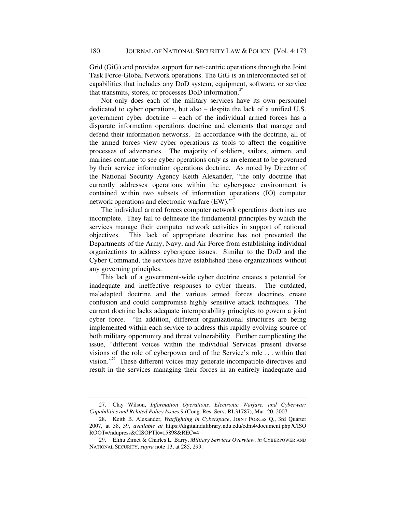Grid (GiG) and provides support for net-centric operations through the Joint Task Force-Global Network operations. The GiG is an interconnected set of capabilities that includes any DoD system, equipment, software, or service that transmits, stores, or processes DoD information.<sup>27</sup>

Not only does each of the military services have its own personnel dedicated to cyber operations, but also – despite the lack of a unified U.S. government cyber doctrine – each of the individual armed forces has a disparate information operations doctrine and elements that manage and defend their information networks. In accordance with the doctrine, all of the armed forces view cyber operations as tools to affect the cognitive processes of adversaries. The majority of soldiers, sailors, airmen, and marines continue to see cyber operations only as an element to be governed by their service information operations doctrine. As noted by Director of the National Security Agency Keith Alexander, "the only doctrine that currently addresses operations within the cyberspace environment is contained within two subsets of information operations (IO) computer network operations and electronic warfare  $(EW)$ ."<sup>28</sup>

The individual armed forces computer network operations doctrines are incomplete. They fail to delineate the fundamental principles by which the services manage their computer network activities in support of national objectives. This lack of appropriate doctrine has not prevented the Departments of the Army, Navy, and Air Force from establishing individual organizations to address cyberspace issues. Similar to the DoD and the Cyber Command, the services have established these organizations without any governing principles.

This lack of a government-wide cyber doctrine creates a potential for inadequate and ineffective responses to cyber threats. The outdated, maladapted doctrine and the various armed forces doctrines create confusion and could compromise highly sensitive attack techniques. The current doctrine lacks adequate interoperability principles to govern a joint cyber force. "In addition, different organizational structures are being implemented within each service to address this rapidly evolving source of both military opportunity and threat vulnerability. Further complicating the issue, "different voices within the individual Services present diverse visions of the role of cyberpower and of the Service's role . . . within that vision."<sup>29</sup> These different voices may generate incompatible directives and result in the services managing their forces in an entirely inadequate and

 <sup>27.</sup> Clay Wilson, *Information Operations, Electronic Warfare, and Cyberwar: Capabilities and Related Policy Issues* 9 (Cong. Res. Serv. RL31787), Mar. 20, 2007.

 <sup>28.</sup> Keith B. Alexander, *Warfighting in Cyberspace*, JOINT FORCES Q., 3rd Quarter 2007, at 58, 59, *available at* https://digitalndulibrary.ndu.edu/cdm4/document.php?CISO ROOT=/ndupress&CISOPTR=15898&REC=4

 <sup>29.</sup> Elihu Zimet & Charles L. Barry, *Military Services Overview*, *in* CYBERPOWER AND NATIONAL SECURITY, *supra* note 13, at 285, 299.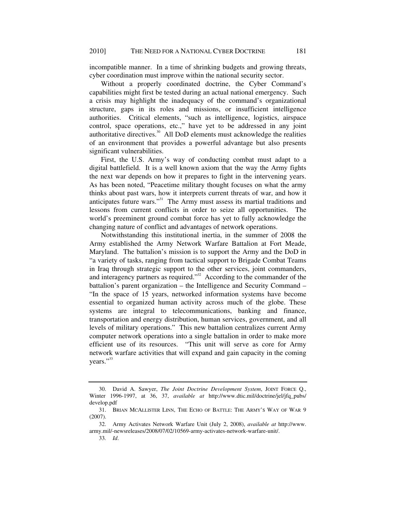incompatible manner. In a time of shrinking budgets and growing threats, cyber coordination must improve within the national security sector.

Without a properly coordinated doctrine, the Cyber Command's capabilities might first be tested during an actual national emergency. Such a crisis may highlight the inadequacy of the command's organizational structure, gaps in its roles and missions, or insufficient intelligence authorities. Critical elements, "such as intelligence, logistics, airspace control, space operations, etc.," have yet to be addressed in any joint authoritative directives. $30$  All DoD elements must acknowledge the realities of an environment that provides a powerful advantage but also presents significant vulnerabilities.

First, the U.S. Army's way of conducting combat must adapt to a digital battlefield. It is a well known axiom that the way the Army fights the next war depends on how it prepares to fight in the intervening years. As has been noted, "Peacetime military thought focuses on what the army thinks about past wars, how it interprets current threats of war, and how it anticipates future wars."<sup>31</sup> The Army must assess its martial traditions and lessons from current conflicts in order to seize all opportunities. The world's preeminent ground combat force has yet to fully acknowledge the changing nature of conflict and advantages of network operations.

Notwithstanding this institutional inertia, in the summer of 2008 the Army established the Army Network Warfare Battalion at Fort Meade, Maryland. The battalion's mission is to support the Army and the DoD in "a variety of tasks, ranging from tactical support to Brigade Combat Teams in Iraq through strategic support to the other services, joint commanders, and interagency partners as required."<sup>32</sup> According to the commander of the battalion's parent organization – the Intelligence and Security Command – "In the space of 15 years, networked information systems have become essential to organized human activity across much of the globe. These systems are integral to telecommunications, banking and finance, transportation and energy distribution, human services, government, and all levels of military operations." This new battalion centralizes current Army computer network operations into a single battalion in order to make more efficient use of its resources. "This unit will serve as core for Army network warfare activities that will expand and gain capacity in the coming years."<sup>33</sup>

 <sup>30.</sup> David A. Sawyer, *The Joint Doctrine Development System*, JOINT FORCE Q., Winter 1996-1997, at 36, 37, *available at* http://www.dtic.mil/doctrine/jel/jfq\_pubs/ develop.pdf

 <sup>31.</sup> BRIAN MCALLISTER LINN, THE ECHO OF BATTLE: THE ARMY'S WAY OF WAR 9 (2007).

 <sup>32.</sup> Army Activates Network Warfare Unit (July 2, 2008), *available at* http://www. army.mil/-newsreleases/2008/07/02/10569-army-activates-network-warfare-unit/.

<sup>33</sup>*. Id*.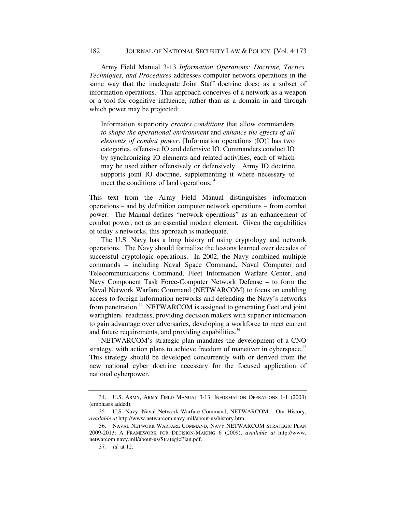#### 182 JOURNAL OF NATIONAL SECURITY LAW & POLICY[Vol. 4:173

Army Field Manual 3-13 *Information Operations: Doctrine, Tactics, Techniques, and Procedures* addresses computer network operations in the same way that the inadequate Joint Staff doctrine does: as a subset of information operations. This approach conceives of a network as a weapon or a tool for cognitive influence, rather than as a domain in and through which power may be projected:

Information superiority *creates conditions* that allow commanders *to shape the operational environment* and *enhance the effects of all elements of combat power*. [Information operations (IO)] has two categories, offensive IO and defensive IO. Commanders conduct IO by synchronizing IO elements and related activities, each of which may be used either offensively or defensively. Army IO doctrine supports joint IO doctrine, supplementing it where necessary to meet the conditions of land operations.<sup>34</sup>

This text from the Army Field Manual distinguishes information operations – and by definition computer network operations – from combat power. The Manual defines "network operations" as an enhancement of combat power, not as an essential modern element. Given the capabilities of today's networks, this approach is inadequate.

The U.S. Navy has a long history of using cryptology and network operations. The Navy should formalize the lessons learned over decades of successful cryptologic operations. In 2002, the Navy combined multiple commands – including Naval Space Command, Naval Computer and Telecommunications Command, Fleet Information Warfare Center, and Navy Component Task Force-Computer Network Defense – to form the Naval Network Warfare Command (NETWARCOM) to focus on enabling access to foreign information networks and defending the Navy's networks from penetration.<sup>35</sup> NETWARCOM is assigned to generating fleet and joint warfighters' readiness, providing decision makers with superior information to gain advantage over adversaries, developing a workforce to meet current and future requirements, and providing capabilities.<sup>36</sup>

NETWARCOM's strategic plan mandates the development of a CNO strategy, with action plans to achieve freedom of maneuver in cyberspace. $37$ This strategy should be developed concurrently with or derived from the new national cyber doctrine necessary for the focused application of national cyberpower.

 <sup>34.</sup> U.S. ARMY, ARMY FIELD MANUAL 3-13: INFORMATION OPERATIONS 1-1 (2003) (emphasis added).

 <sup>35.</sup> U.S. Navy, Naval Network Warfare Command, NETWARCOM – Our History, *available at* http://www.netwarcom.navy.mil/about-us/history.htm.

 <sup>36.</sup> NAVAL NETWORK WARFARE COMMAND, NAVY NETWARCOM STRATEGIC PLAN 2009-2013: A FRAMEWORK FOR DECISION-MAKING 6 (2009), *available at* http://www. netwarcom.navy.mil/about-us/StrategicPlan.pdf.

<sup>37</sup>*. Id.* at 12.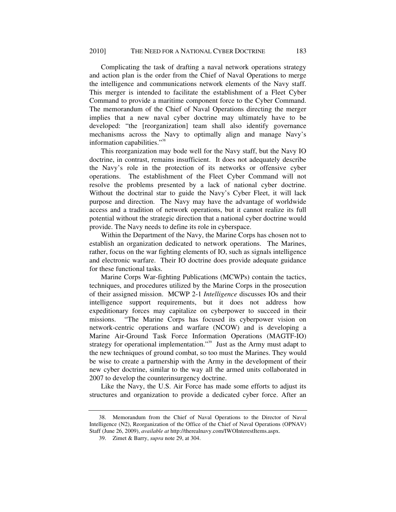Complicating the task of drafting a naval network operations strategy and action plan is the order from the Chief of Naval Operations to merge the intelligence and communications network elements of the Navy staff. This merger is intended to facilitate the establishment of a Fleet Cyber Command to provide a maritime component force to the Cyber Command. The memorandum of the Chief of Naval Operations directing the merger implies that a new naval cyber doctrine may ultimately have to be developed: "the [reorganization] team shall also identify governance mechanisms across the Navy to optimally align and manage Navy's information capabilities."<sup>38</sup>

This reorganization may bode well for the Navy staff, but the Navy IO doctrine, in contrast, remains insufficient. It does not adequately describe the Navy's role in the protection of its networks or offensive cyber operations. The establishment of the Fleet Cyber Command will not resolve the problems presented by a lack of national cyber doctrine. Without the doctrinal star to guide the Navy's Cyber Fleet, it will lack purpose and direction. The Navy may have the advantage of worldwide access and a tradition of network operations, but it cannot realize its full potential without the strategic direction that a national cyber doctrine would provide. The Navy needs to define its role in cyberspace.

Within the Department of the Navy, the Marine Corps has chosen not to establish an organization dedicated to network operations. The Marines, rather, focus on the war fighting elements of IO, such as signals intelligence and electronic warfare. Their IO doctrine does provide adequate guidance for these functional tasks.

Marine Corps War-fighting Publications (MCWPs) contain the tactics, techniques, and procedures utilized by the Marine Corps in the prosecution of their assigned mission. MCWP 2-1 *Intelligence* discusses IOs and their intelligence support requirements, but it does not address how expeditionary forces may capitalize on cyberpower to succeed in their missions. "The Marine Corps has focused its cyberpower vision on network-centric operations and warfare (NCOW) and is developing a Marine Air-Ground Task Force Information Operations (MAGTF-IO) strategy for operational implementation."<sup>39</sup> Just as the Army must adapt to the new techniques of ground combat, so too must the Marines. They would be wise to create a partnership with the Army in the development of their new cyber doctrine, similar to the way all the armed units collaborated in 2007 to develop the counterinsurgency doctrine.

Like the Navy, the U.S. Air Force has made some efforts to adjust its structures and organization to provide a dedicated cyber force. After an

 <sup>38.</sup> Memorandum from the Chief of Naval Operations to the Director of Naval Intelligence (N2), Reorganization of the Office of the Chief of Naval Operations (OPNAV) Staff (June 26, 2009), *available at* http://therealnavy.com/IWOInterestItems.aspx.

 <sup>39.</sup> Zimet & Barry, *supra* note 29, at 304.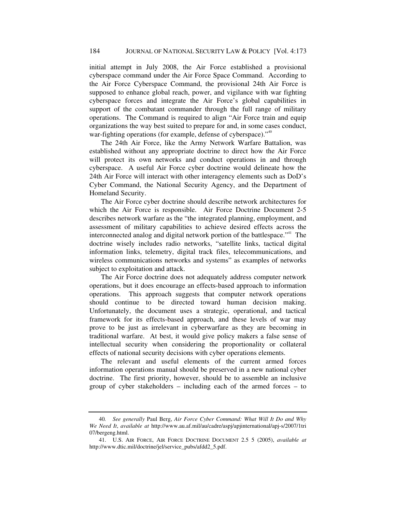initial attempt in July 2008, the Air Force established a provisional cyberspace command under the Air Force Space Command. According to the Air Force Cyberspace Command, the provisional 24th Air Force is supposed to enhance global reach, power, and vigilance with war fighting cyberspace forces and integrate the Air Force's global capabilities in support of the combatant commander through the full range of military operations. The Command is required to align "Air Force train and equip organizations the way best suited to prepare for and, in some cases conduct, war-fighting operations (for example, defense of cyberspace)."<sup>40</sup>

The 24th Air Force, like the Army Network Warfare Battalion, was established without any appropriate doctrine to direct how the Air Force will protect its own networks and conduct operations in and through cyberspace. A useful Air Force cyber doctrine would delineate how the 24th Air Force will interact with other interagency elements such as DoD's Cyber Command, the National Security Agency, and the Department of Homeland Security.

The Air Force cyber doctrine should describe network architectures for which the Air Force is responsible. Air Force Doctrine Document 2-5 describes network warfare as the "the integrated planning, employment, and assessment of military capabilities to achieve desired effects across the interconnected analog and digital network portion of the battlespace."<sup>41</sup> The doctrine wisely includes radio networks, "satellite links, tactical digital information links, telemetry, digital track files, telecommunications, and wireless communications networks and systems" as examples of networks subject to exploitation and attack.

The Air Force doctrine does not adequately address computer network operations, but it does encourage an effects-based approach to information operations. This approach suggests that computer network operations should continue to be directed toward human decision making. Unfortunately, the document uses a strategic, operational, and tactical framework for its effects-based approach, and these levels of war may prove to be just as irrelevant in cyberwarfare as they are becoming in traditional warfare. At best, it would give policy makers a false sense of intellectual security when considering the proportionality or collateral effects of national security decisions with cyber operations elements.

The relevant and useful elements of the current armed forces information operations manual should be preserved in a new national cyber doctrine. The first priority, however, should be to assemble an inclusive group of cyber stakeholders – including each of the armed forces – to

<sup>40</sup>*. See generally* Paul Berg, *Air Force Cyber Command: What Will It Do and Why We Need It*, *available at* http://www.au.af.mil/au/cadre/aspj/apjinternational/apj-s/2007/1tri 07/bergeng.html.

 <sup>41.</sup> U.S. AIR FORCE, AIR FORCE DOCTRINE DOCUMENT 2.5 5 (2005), *available at*  http://www.dtic.mil/doctrine/jel/service\_pubs/afdd2\_5.pdf.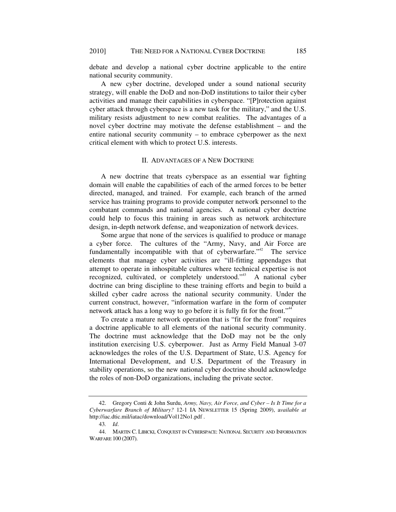debate and develop a national cyber doctrine applicable to the entire national security community.

A new cyber doctrine, developed under a sound national security strategy, will enable the DoD and non-DoD institutions to tailor their cyber activities and manage their capabilities in cyberspace. "[P]rotection against cyber attack through cyberspace is a new task for the military," and the U.S. military resists adjustment to new combat realities. The advantages of a novel cyber doctrine may motivate the defense establishment – and the entire national security community – to embrace cyberpower as the next critical element with which to protect U.S. interests.

# II. ADVANTAGES OF A NEW DOCTRINE

A new doctrine that treats cyberspace as an essential war fighting domain will enable the capabilities of each of the armed forces to be better directed, managed, and trained. For example, each branch of the armed service has training programs to provide computer network personnel to the combatant commands and national agencies. A national cyber doctrine could help to focus this training in areas such as network architecture design, in-depth network defense, and weaponization of network devices.

Some argue that none of the services is qualified to produce or manage a cyber force. The cultures of the "Army, Navy, and Air Force are fundamentally incompatible with that of cyberwarfare. $14^{42}$  The service elements that manage cyber activities are "ill-fitting appendages that attempt to operate in inhospitable cultures where technical expertise is not recognized, cultivated, or completely understood."<sup>43</sup> A national cyber doctrine can bring discipline to these training efforts and begin to build a skilled cyber cadre across the national security community. Under the current construct, however, "information warfare in the form of computer network attack has a long way to go before it is fully fit for the front."<sup>44</sup>

To create a mature network operation that is "fit for the front" requires a doctrine applicable to all elements of the national security community. The doctrine must acknowledge that the DoD may not be the only institution exercising U.S. cyberpower. Just as Army Field Manual 3-07 acknowledges the roles of the U.S. Department of State, U.S. Agency for International Development, and U.S. Department of the Treasury in stability operations, so the new national cyber doctrine should acknowledge the roles of non-DoD organizations, including the private sector.

 <sup>42.</sup> Gregory Conti & John Surdu, *Army, Navy, Air Force, and Cyber – Is It Time for a Cyberwarfare Branch of Military?* 12-1 IA NEWSLETTER 15 (Spring 2009), a*vailable at*  http://iac.dtic.mil/iatac/download/Vol12No1.pdf .

<sup>43</sup>*. Id*.

 <sup>44.</sup> MARTIN C. LIBICKI, CONQUEST IN CYBERSPACE: NATIONAL SECURITY AND INFORMATION WARFARE 100 (2007).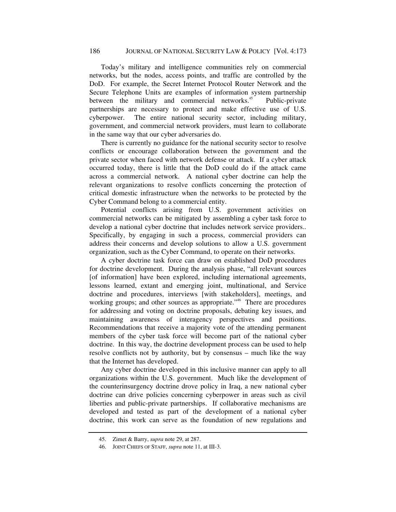Today's military and intelligence communities rely on commercial networks, but the nodes, access points, and traffic are controlled by the DoD. For example, the Secret Internet Protocol Router Network and the Secure Telephone Units are examples of information system partnership between the military and commercial networks.<sup>45</sup> Public-private partnerships are necessary to protect and make effective use of U.S. cyberpower. The entire national security sector, including military, government, and commercial network providers, must learn to collaborate in the same way that our cyber adversaries do.

There is currently no guidance for the national security sector to resolve conflicts or encourage collaboration between the government and the private sector when faced with network defense or attack. If a cyber attack occurred today, there is little that the DoD could do if the attack came across a commercial network. A national cyber doctrine can help the relevant organizations to resolve conflicts concerning the protection of critical domestic infrastructure when the networks to be protected by the Cyber Command belong to a commercial entity.

Potential conflicts arising from U.S. government activities on commercial networks can be mitigated by assembling a cyber task force to develop a national cyber doctrine that includes network service providers.. Specifically, by engaging in such a process, commercial providers can address their concerns and develop solutions to allow a U.S. government organization, such as the Cyber Command, to operate on their networks.

A cyber doctrine task force can draw on established DoD procedures for doctrine development. During the analysis phase, "all relevant sources [of information] have been explored, including international agreements, lessons learned, extant and emerging joint, multinational, and Service doctrine and procedures, interviews [with stakeholders], meetings, and working groups; and other sources as appropriate."<sup>46</sup> There are procedures for addressing and voting on doctrine proposals, debating key issues, and maintaining awareness of interagency perspectives and positions. Recommendations that receive a majority vote of the attending permanent members of the cyber task force will become part of the national cyber doctrine. In this way, the doctrine development process can be used to help resolve conflicts not by authority, but by consensus – much like the way that the Internet has developed.

Any cyber doctrine developed in this inclusive manner can apply to all organizations within the U.S. government. Much like the development of the counterinsurgency doctrine drove policy in Iraq, a new national cyber doctrine can drive policies concerning cyberpower in areas such as civil liberties and public-private partnerships. If collaborative mechanisms are developed and tested as part of the development of a national cyber doctrine, this work can serve as the foundation of new regulations and

 <sup>45.</sup> Zimet & Barry, *supra* note 29, at 287.

 <sup>46.</sup> JOINT CHIEFS OF STAFF, *supra* note 11, at III-3.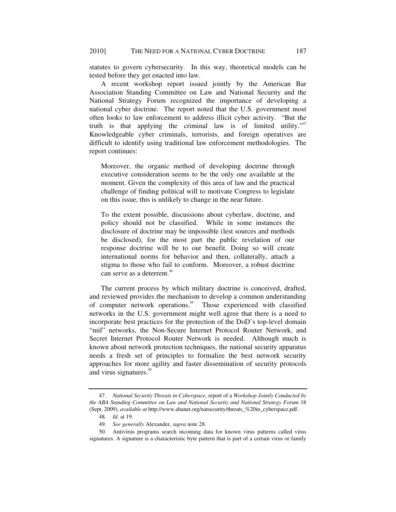statutes to govern cybersecurity. In this way, theoretical models can be tested before they get enacted into law.

A recent workshop report issued jointly by the American Bar Association Standing Committee on Law and National Security and the National Strategy Forum recognized the importance of developing a national cyber doctrine. The report noted that the U.S. government most often looks to law enforcement to address illicit cyber activity. "But the truth is that applying the criminal law is of limited utility."<sup>47</sup> Knowledgeable cyber criminals, terrorists, and foreign operatives are difficult to identify using traditional law enforcement methodologies. The report continues:

Moreover, the organic method of developing doctrine through executive consideration seems to be the only one available at the moment. Given the complexity of this area of law and the practical challenge of finding political will to motivate Congress to legislate on this issue, this is unlikely to change in the near future.

To the extent possible, discussions about cyberlaw, doctrine, and policy should not be classified. While in some instances the disclosure of doctrine may be impossible (lest sources and methods be disclosed), for the most part the public revelation of our response doctrine will be to our benefit. Doing so will create international norms for behavior and then, collaterally, attach a stigma to those who fail to conform. Moreover, a robust doctrine can serve as a deterrent.<sup>48</sup>

The current process by which military doctrine is conceived, drafted, and reviewed provides the mechanism to develop a common understanding of computer network operations.<sup>49</sup> Those experienced with classified networks in the U.S. government might well agree that there is a need to incorporate best practices for the protection of the DoD's top-level domain "mil" networks, the Non-Secure Internet Protocol Router Network, and Secret Internet Protocol Router Network is needed. Although much is known about network protection techniques, the national security apparatus needs a fresh set of principles to formalize the best network security approaches for more agility and faster dissemination of security protocols and virus signatures. $50$ 

 <sup>47.</sup> *National Security Threats in Cyberspace*, report of a *Workshop Jointly Conducted by the ABA Standing Committee on Law and National Security and National Strategy Forum* 18 (Sept. 2009), *available at* http://www.abanet.org/natsecurity/threats\_%20in\_cyberspace.pdf.

<sup>48</sup>*. Id.* at 19.

<sup>49</sup>*. See generally* Alexander, *supra* note 28.

 <sup>50.</sup> Antivirus programs search incoming data for known virus patterns called virus signatures. A signature is a characteristic byte pattern that is part of a certain virus or family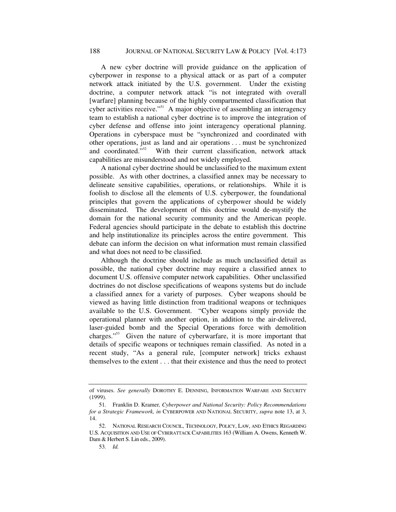A new cyber doctrine will provide guidance on the application of cyberpower in response to a physical attack or as part of a computer network attack initiated by the U.S. government. Under the existing doctrine, a computer network attack "is not integrated with overall [warfare] planning because of the highly compartmented classification that cyber activities receive." $\frac{1}{2}$  A major objective of assembling an interagency team to establish a national cyber doctrine is to improve the integration of cyber defense and offense into joint interagency operational planning. Operations in cyberspace must be "synchronized and coordinated with other operations, just as land and air operations . . . must be synchronized and coordinated."<sup>52</sup> With their current classification, network attack capabilities are misunderstood and not widely employed.

A national cyber doctrine should be unclassified to the maximum extent possible. As with other doctrines, a classified annex may be necessary to delineate sensitive capabilities, operations, or relationships. While it is foolish to disclose all the elements of U.S. cyberpower, the foundational principles that govern the applications of cyberpower should be widely disseminated. The development of this doctrine would de-mystify the domain for the national security community and the American people. Federal agencies should participate in the debate to establish this doctrine and help institutionalize its principles across the entire government. This debate can inform the decision on what information must remain classified and what does not need to be classified.

Although the doctrine should include as much unclassified detail as possible, the national cyber doctrine may require a classified annex to document U.S. offensive computer network capabilities. Other unclassified doctrines do not disclose specifications of weapons systems but do include a classified annex for a variety of purposes. Cyber weapons should be viewed as having little distinction from traditional weapons or techniques available to the U.S. Government. "Cyber weapons simply provide the operational planner with another option, in addition to the air-delivered, laser-guided bomb and the Special Operations force with demolition charges."53 Given the nature of cyberwarfare, it is more important that details of specific weapons or techniques remain classified. As noted in a recent study, "As a general rule, [computer network] tricks exhaust themselves to the extent . . . that their existence and thus the need to protect

of viruses. *See generally* DOROTHY E. DENNING, INFORMATION WARFARE AND SECURITY (1999).

<sup>51</sup>*.* Franklin D. Kramer*, Cyberpower and National Security: Policy Recommendations for a Strategic Framework, in* CYBERPOWER AND NATIONAL SECURITY, *supra* note 13, at 3, 14.

 <sup>52.</sup> NATIONAL RESEARCH COUNCIL, TECHNOLOGY, POLICY, LAW, AND ETHICS REGARDING U.S. ACQUISITION AND USE OF CYBERATTACK CAPABILITIES 163 (William A. Owens, Kenneth W. Dam & Herbert S. Lin eds., 2009).

<sup>53</sup>*. Id.*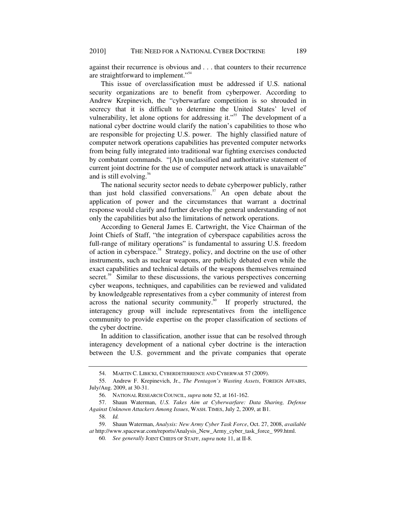against their recurrence is obvious and . . . that counters to their recurrence are straightforward to implement."<sup>54</sup>

This issue of overclassification must be addressed if U.S. national security organizations are to benefit from cyberpower. According to Andrew Krepinevich, the "cyberwarfare competition is so shrouded in secrecy that it is difficult to determine the United States' level of vulnerability, let alone options for addressing it."<sup>55</sup> The development of a national cyber doctrine would clarify the nation's capabilities to those who are responsible for projecting U.S. power. The highly classified nature of computer network operations capabilities has prevented computer networks from being fully integrated into traditional war fighting exercises conducted by combatant commands. "[A]n unclassified and authoritative statement of current joint doctrine for the use of computer network attack is unavailable" and is still evolving.<sup>56</sup>

The national security sector needs to debate cyberpower publicly, rather than just hold classified conversations. $57$  An open debate about the application of power and the circumstances that warrant a doctrinal response would clarify and further develop the general understanding of not only the capabilities but also the limitations of network operations.

According to General James E. Cartwright, the Vice Chairman of the Joint Chiefs of Staff, "the integration of cyberspace capabilities across the full-range of military operations" is fundamental to assuring U.S. freedom of action in cyberspace.<sup>58</sup> Strategy, policy, and doctrine on the use of other instruments, such as nuclear weapons, are publicly debated even while the exact capabilities and technical details of the weapons themselves remained secret.<sup>59</sup> Similar to these discussions, the various perspectives concerning cyber weapons, techniques, and capabilities can be reviewed and validated by knowledgeable representatives from a cyber community of interest from across the national security community. $60$  If properly structured, the interagency group will include representatives from the intelligence community to provide expertise on the proper classification of sections of the cyber doctrine.

In addition to classification, another issue that can be resolved through interagency development of a national cyber doctrine is the interaction between the U.S. government and the private companies that operate

 <sup>54.</sup> MARTIN C. LIBICKI, CYBERDETERRENCE AND CYBERWAR 57 (2009).

 <sup>55.</sup> Andrew F. Krepinevich, Jr., *The Pentagon's Wasting Assets*, FOREIGN AFFAIRS, July/Aug. 2009, at 30-31.

 <sup>56.</sup> NATIONAL RESEARCH COUNCIL, *supra* note 52, at 161-162.

 <sup>57.</sup> Shaun Waterman, *U.S. Takes Aim at Cyberwarfare: Data Sharing, Defense Against Unknown Attackers Among Issues*, WASH. TIMES, July 2, 2009, at B1.

<sup>58</sup>*. Id.*

 <sup>59.</sup> Shaun Waterman, *Analysis: New Army Cyber Task Force*, Oct. 27, 2008, *available at* http://www.spacewar.com/reports/Analysis\_New\_Army\_cyber\_task\_force\_ 999.html.

<sup>60</sup>*. See generally* JOINT CHIEFS OF STAFF, *supra* note 11, at II-8.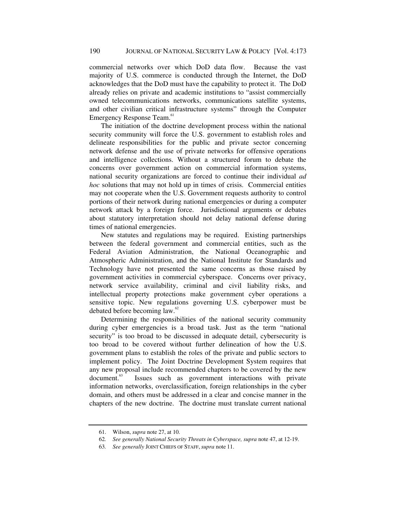commercial networks over which DoD data flow. Because the vast majority of U.S. commerce is conducted through the Internet, the DoD acknowledges that the DoD must have the capability to protect it. The DoD already relies on private and academic institutions to "assist commercially owned telecommunications networks, communications satellite systems, and other civilian critical infrastructure systems" through the Computer Emergency Response Team.<sup>61</sup>

The initiation of the doctrine development process within the national security community will force the U.S. government to establish roles and delineate responsibilities for the public and private sector concerning network defense and the use of private networks for offensive operations and intelligence collections. Without a structured forum to debate the concerns over government action on commercial information systems, national security organizations are forced to continue their individual *ad hoc* solutions that may not hold up in times of crisis. Commercial entities may not cooperate when the U.S. Government requests authority to control portions of their network during national emergencies or during a computer network attack by a foreign force. Jurisdictional arguments or debates about statutory interpretation should not delay national defense during times of national emergencies.

New statutes and regulations may be required. Existing partnerships between the federal government and commercial entities, such as the Federal Aviation Administration, the National Oceanographic and Atmospheric Administration, and the National Institute for Standards and Technology have not presented the same concerns as those raised by government activities in commercial cyberspace. Concerns over privacy, network service availability, criminal and civil liability risks, and intellectual property protections make government cyber operations a sensitive topic. New regulations governing U.S. cyberpower must be debated before becoming law.<sup>62</sup>

Determining the responsibilities of the national security community during cyber emergencies is a broad task. Just as the term "national security" is too broad to be discussed in adequate detail, cybersecurity is too broad to be covered without further delineation of how the U.S. government plans to establish the roles of the private and public sectors to implement policy. The Joint Doctrine Development System requires that any new proposal include recommended chapters to be covered by the new document.<sup>63</sup> Issues such as government interactions with private information networks, overclassification, foreign relationships in the cyber domain, and others must be addressed in a clear and concise manner in the chapters of the new doctrine. The doctrine must translate current national

 <sup>61.</sup> Wilson, *supra* note 27, at 10.

<sup>62</sup>*. See generally National Security Threats in Cyberspace, supra* note 47, at 12-19.

<sup>63</sup>*. See generally* JOINT CHIEFS OF STAFF,*supra* note 11.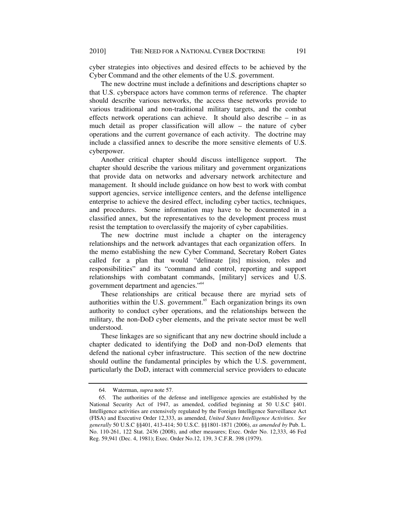cyber strategies into objectives and desired effects to be achieved by the Cyber Command and the other elements of the U.S. government.

The new doctrine must include a definitions and descriptions chapter so that U.S. cyberspace actors have common terms of reference. The chapter should describe various networks, the access these networks provide to various traditional and non-traditional military targets, and the combat effects network operations can achieve. It should also describe – in as much detail as proper classification will allow – the nature of cyber operations and the current governance of each activity. The doctrine may include a classified annex to describe the more sensitive elements of U.S. cyberpower.

Another critical chapter should discuss intelligence support. The chapter should describe the various military and government organizations that provide data on networks and adversary network architecture and management. It should include guidance on how best to work with combat support agencies, service intelligence centers, and the defense intelligence enterprise to achieve the desired effect, including cyber tactics, techniques, and procedures. Some information may have to be documented in a classified annex, but the representatives to the development process must resist the temptation to overclassify the majority of cyber capabilities.

The new doctrine must include a chapter on the interagency relationships and the network advantages that each organization offers. In the memo establishing the new Cyber Command, Secretary Robert Gates called for a plan that would "delineate [its] mission, roles and responsibilities" and its "command and control, reporting and support relationships with combatant commands, [military] services and U.S. government department and agencies."<sup>64</sup>

These relationships are critical because there are myriad sets of authorities within the U.S. government.<sup>65</sup> Each organization brings its own authority to conduct cyber operations, and the relationships between the military, the non-DoD cyber elements, and the private sector must be well understood.

These linkages are so significant that any new doctrine should include a chapter dedicated to identifying the DoD and non-DoD elements that defend the national cyber infrastructure. This section of the new doctrine should outline the fundamental principles by which the U.S. government, particularly the DoD, interact with commercial service providers to educate

 <sup>64.</sup> Waterman, *supra* note 57.

 <sup>65.</sup> The authorities of the defense and intelligence agencies are established by the National Security Act of 1947, as amended, codified beginning at 50 U.S.C §401. Intelligence activities are extensively regulated by the Foreign Intelligence Surveillance Act (FISA) and Executive Order 12,333, as amended, *United States Intelligence Activities*. *See generally* 50 U.S.C §§401, 413-414; 50 U.S.C. §§1801-1871 (2006), *as amended by* Pub. L. No. 110-261, 122 Stat. 2436 (2008), and other measures; Exec. Order No. 12,333, 46 Fed Reg. 59,941 (Dec. 4, 1981); Exec. Order No.12, 139, 3 C.F.R. 398 (1979).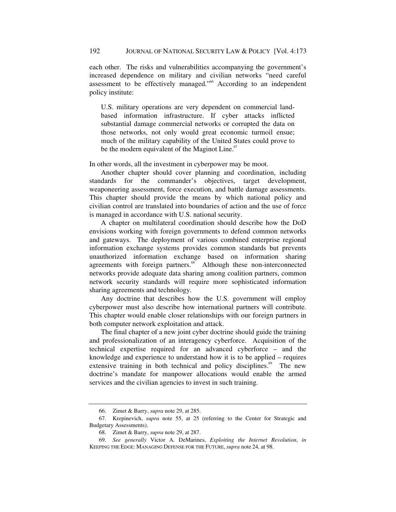each other. The risks and vulnerabilities accompanying the government's increased dependence on military and civilian networks "need careful assessment to be effectively managed."66 According to an independent policy institute:

U.S. military operations are very dependent on commercial landbased information infrastructure. If cyber attacks inflicted substantial damage commercial networks or corrupted the data on those networks, not only would great economic turmoil ensue; much of the military capability of the United States could prove to be the modern equivalent of the Maginot Line.<sup>67</sup>

In other words, all the investment in cyberpower may be moot.

Another chapter should cover planning and coordination, including standards for the commander's objectives, target development, weaponeering assessment, force execution, and battle damage assessments. This chapter should provide the means by which national policy and civilian control are translated into boundaries of action and the use of force is managed in accordance with U.S. national security.

A chapter on multilateral coordination should describe how the DoD envisions working with foreign governments to defend common networks and gateways. The deployment of various combined enterprise regional information exchange systems provides common standards but prevents unauthorized information exchange based on information sharing agreements with foreign partners. $68$  Although these non-interconnected networks provide adequate data sharing among coalition partners, common network security standards will require more sophisticated information sharing agreements and technology.

Any doctrine that describes how the U.S. government will employ cyberpower must also describe how international partners will contribute. This chapter would enable closer relationships with our foreign partners in both computer network exploitation and attack.

The final chapter of a new joint cyber doctrine should guide the training and professionalization of an interagency cyberforce. Acquisition of the technical expertise required for an advanced cyberforce – and the knowledge and experience to understand how it is to be applied – requires extensive training in both technical and policy disciplines.<sup>69</sup> The new doctrine's mandate for manpower allocations would enable the armed services and the civilian agencies to invest in such training.

 <sup>66.</sup> Zimet & Barry, *supra* note 29, at 285.

 <sup>67.</sup> Krepinevich, *supra* note 55, at 25 (referring to the Center for Strategic and Budgetary Assessments).

 <sup>68.</sup> Zimet & Barry, *supra* note 29, at 287.

<sup>69</sup>*. See generally* Victor A. DeMarines, *Exploiting the Internet Revolution*, *in* KEEPING THE EDGE: MANAGING DEFENSE FOR THE FUTURE, *supra* note 24, at 98.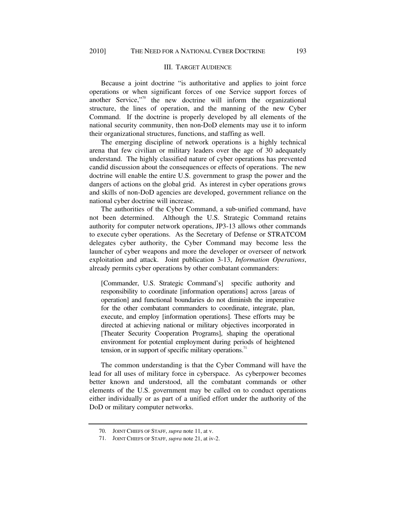# III. TARGET AUDIENCE

Because a joint doctrine "is authoritative and applies to joint force operations or when significant forces of one Service support forces of another Service,"70 the new doctrine will inform the organizational structure, the lines of operation, and the manning of the new Cyber Command. If the doctrine is properly developed by all elements of the national security community, then non-DoD elements may use it to inform their organizational structures, functions, and staffing as well.

The emerging discipline of network operations is a highly technical arena that few civilian or military leaders over the age of 30 adequately understand. The highly classified nature of cyber operations has prevented candid discussion about the consequences or effects of operations. The new doctrine will enable the entire U.S. government to grasp the power and the dangers of actions on the global grid. As interest in cyber operations grows and skills of non-DoD agencies are developed, government reliance on the national cyber doctrine will increase.

The authorities of the Cyber Command, a sub-unified command, have not been determined. Although the U.S. Strategic Command retains authority for computer network operations, JP3-13 allows other commands to execute cyber operations. As the Secretary of Defense or STRATCOM delegates cyber authority, the Cyber Command may become less the launcher of cyber weapons and more the developer or overseer of network exploitation and attack. Joint publication 3-13, *Information Operations*, already permits cyber operations by other combatant commanders:

[Commander, U.S. Strategic Command's] specific authority and responsibility to coordinate [information operations] across [areas of operation] and functional boundaries do not diminish the imperative for the other combatant commanders to coordinate, integrate, plan, execute, and employ [information operations]. These efforts may be directed at achieving national or military objectives incorporated in [Theater Security Cooperation Programs], shaping the operational environment for potential employment during periods of heightened tension, or in support of specific military operations.<sup>71</sup>

The common understanding is that the Cyber Command will have the lead for all uses of military force in cyberspace. As cyberpower becomes better known and understood, all the combatant commands or other elements of the U.S. government may be called on to conduct operations either individually or as part of a unified effort under the authority of the DoD or military computer networks.

 <sup>70.</sup> JOINT CHIEFS OF STAFF, *supra* note 11, at v.

 <sup>71.</sup> JOINT CHIEFS OF STAFF, *supra* note 21, at iv-2.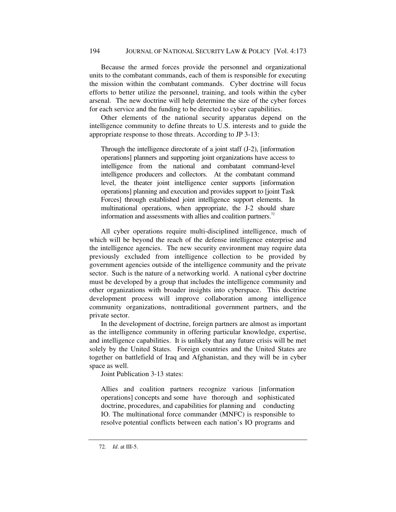### 194 JOURNAL OF NATIONAL SECURITY LAW & POLICY[Vol. 4:173

Because the armed forces provide the personnel and organizational units to the combatant commands, each of them is responsible for executing the mission within the combatant commands. Cyber doctrine will focus efforts to better utilize the personnel, training, and tools within the cyber arsenal. The new doctrine will help determine the size of the cyber forces for each service and the funding to be directed to cyber capabilities.

Other elements of the national security apparatus depend on the intelligence community to define threats to U.S. interests and to guide the appropriate response to those threats. According to JP 3-13:

Through the intelligence directorate of a joint staff (J-2), [information operations] planners and supporting joint organizations have access to intelligence from the national and combatant command-level intelligence producers and collectors. At the combatant command level, the theater joint intelligence center supports [information operations] planning and execution and provides support to [joint Task Forces] through established joint intelligence support elements. In multinational operations, when appropriate, the J-2 should share information and assessments with allies and coalition partners.<sup>72</sup>

All cyber operations require multi-disciplined intelligence, much of which will be beyond the reach of the defense intelligence enterprise and the intelligence agencies. The new security environment may require data previously excluded from intelligence collection to be provided by government agencies outside of the intelligence community and the private sector. Such is the nature of a networking world. A national cyber doctrine must be developed by a group that includes the intelligence community and other organizations with broader insights into cyberspace. This doctrine development process will improve collaboration among intelligence community organizations, nontraditional government partners, and the private sector.

In the development of doctrine, foreign partners are almost as important as the intelligence community in offering particular knowledge, expertise, and intelligence capabilities. It is unlikely that any future crisis will be met solely by the United States. Foreign countries and the United States are together on battlefield of Iraq and Afghanistan, and they will be in cyber space as well.

Joint Publication 3-13 states:

Allies and coalition partners recognize various [information operations] concepts and some have thorough and sophisticated doctrine, procedures, and capabilities for planning and conducting IO. The multinational force commander (MNFC) is responsible to resolve potential conflicts between each nation's IO programs and

<sup>72</sup>*. Id*. at III-5.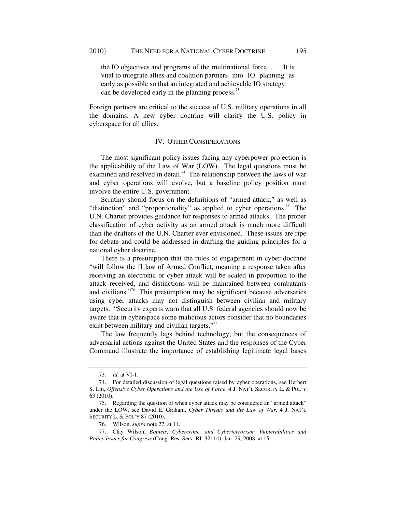the IO objectives and programs of the multinational force. . . . It is vital to integrate allies and coalition partners into IO planning as early as possible so that an integrated and achievable IO strategy can be developed early in the planning process.<sup>73</sup>

Foreign partners are critical to the success of U.S. military operations in all the domains. A new cyber doctrine will clarify the U.S. policy in cyberspace for all allies.

#### IV. OTHER CONSIDERATIONS

The most significant policy issues facing any cyberpower projection is the applicability of the Law of War (LOW). The legal questions must be examined and resolved in detail.<sup>74</sup> The relationship between the laws of war and cyber operations will evolve, but a baseline policy position must involve the entire U.S. government.

Scrutiny should focus on the definitions of "armed attack," as well as "distinction" and "proportionality" as applied to cyber operations.<sup>75</sup> The U.N. Charter provides guidance for responses to armed attacks. The proper classification of cyber activity as an armed attack is much more difficult than the drafters of the U.N. Charter ever envisioned. These issues are ripe for debate and could be addressed in drafting the guiding principles for a national cyber doctrine.

There is a presumption that the rules of engagement in cyber doctrine "will follow the [L]aw of Armed Conflict, meaning a response taken after receiving an electronic or cyber attack will be scaled in proportion to the attack received, and distinctions will be maintained between combatants and civilians."76 This presumption may be significant because adversaries using cyber attacks may not distinguish between civilian and military targets. "Security experts warn that all U.S. federal agencies should now be aware that in cyberspace some malicious actors consider that no boundaries exist between military and civilian targets."<sup>77</sup>

The law frequently lags behind technology, but the consequences of adversarial actions against the United States and the responses of the Cyber Command illustrate the importance of establishing legitimate legal bases

<sup>73</sup>*. Id.* at VI-1.

 <sup>74.</sup> For detailed discussion of legal questions raised by cyber operations, see Herbert S. Lin, *Offensive Cyber Operations and the Use of Force*, 4 J. NAT'L SECURITY L. & POL'Y 63 (2010).

 <sup>75.</sup> Regarding the question of when cyber attack may be considered an "armed attack" under the LOW, see David E. Graham, *Cyber Threats and the Law of War*, 4 J. NAT'L SECURITY L. & POL'Y 87 (2010).

 <sup>76.</sup> Wilson, *supra* note 27, at 11.

 <sup>77.</sup> Clay Wilson, *Botnets, Cybercrime, and Cyberterrorism: Vulnerabilities and Policy Issues for Congress* (Cong. Res. Serv. RL 32114), Jan. 29, 2008, at 15.